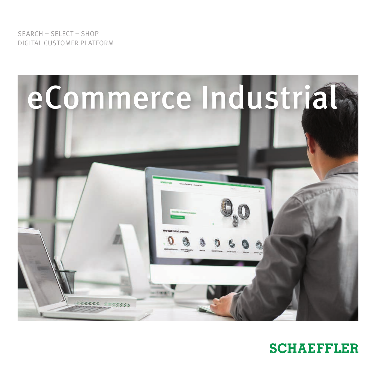SEARCH – SELECT – SHOP DIGITAL CUSTOMER PLATFORM



# **SCHAEFFLER**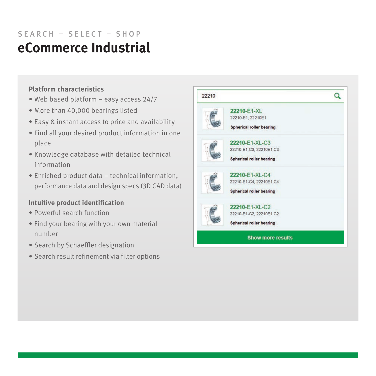## **eCommerce Industrial** SEARCH – SELECT – SHOP

## **Platform characteristics**

- Web based platform easy access 24/7
- More than 40,000 bearings listed
- Easy & instant access to price and availability
- Find all your desired product information in one place
- Knowledge database with detailed technical information
- Enriched product data technical information, performance data and design specs (3D CAD data)

## **Intuitive product identification**

- Powerful search function
- Find your bearing with your own material number
- Search by Schaeffler designation
- Search result refinement via filter options

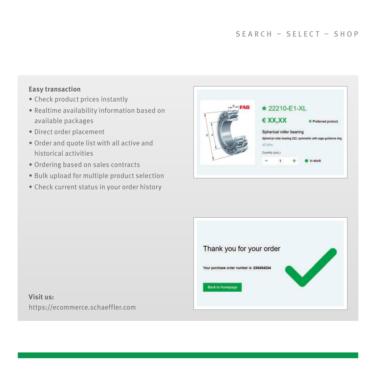#### **Easy transaction**

- Check product prices instantly
- Realtime availability information based on available packages
- Direct order placement
- Order and quote list with all active and historical activities
- Ordering based on sales contracts
- Bulk upload for multiple product selection
- Check current status in your order history





## **Visit us:**  https://ecommerce.schaeffler.com